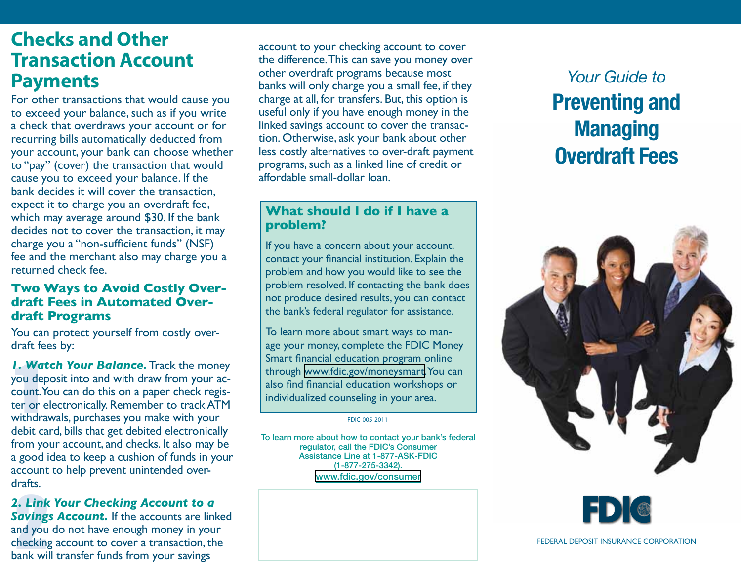## **Checks and Other Transaction Account Payments**

For other transactions that would cause you to exceed your balance, such as if you write a check that overdraws your account or for recurring bills automatically deducted from your account, your bank can choose whether to "pay" (cover) the transaction that would cause you to exceed your balance. If the bank decides it will cover the transaction, expect it to charge you an overdraft fee, which may average around \$30. If the bank decides not to cover the transaction, it may charge you a "non-sufficient funds" (NSF) fee and the merchant also may charge you a returned check fee.

### **Two Ways to Avoid Costly Overdraft Fees in Automated Overdraft Programs**

You can protect yourself from costly overdraft fees by:

**1. We**<br>rou de<br>count.<br>er or<br>vithdr *1. Watch Your Balance.* Track the money you deposit into and with draw from your account. You can do this on a paper check register or electronically. Remember to track ATM withdrawals, purchases you make with your debit card, bills that get debited electronically from your account, and checks. It also may be a good idea to keep a cushion of funds in your account to help prevent unintended overdrafts.

**2. Link Your Checking Account to a**<br>**Savings Account.** If the accounts are line and you do not have enough money in you checking account to cover a transaction, the bank will transfer funds from your savings *2. Link Your Checking Account to a*  **Savings Account.** If the accounts are linked and you do not have enough money in your checking account to cover a transaction, the

account to your checking account to cover the difference. This can save you money over other overdraft programs because most banks will only charge you a small fee, if they charge at all, for transfers. But, this option is useful only if you have enough money in the linked savings account to cover the transaction. Otherwise, ask your bank about other less costly alternatives to over-draft payment programs, such as a linked line of credit or affordable small-dollar loan.

#### **What should I do if I have a problem?**

If you have a concern about your account, contact your financial institution. Explain the problem and how you would like to see the problem resolved. If contacting the bank does not produce desired results, you can contact the bank's federal regulator for assistance.

To learn more about smart ways to manage your money, complete the FDIC Money Smart financial education program online through [www.fdic.gov/moneysmart.](www.fdic.gov/moneysmart) You can also find financial education workshops or individualized counseling in your area.

FDIC-005-2011

To learn more about how to contact your bank's federal regulator, call the FDIC's Consumer Assistance Line at 1-877-ASK-FDIC (1-877-275-3342). <www.fdic.gov/consumer>

# *Your Guide to*  Preventing and Managing Overdraft Fees